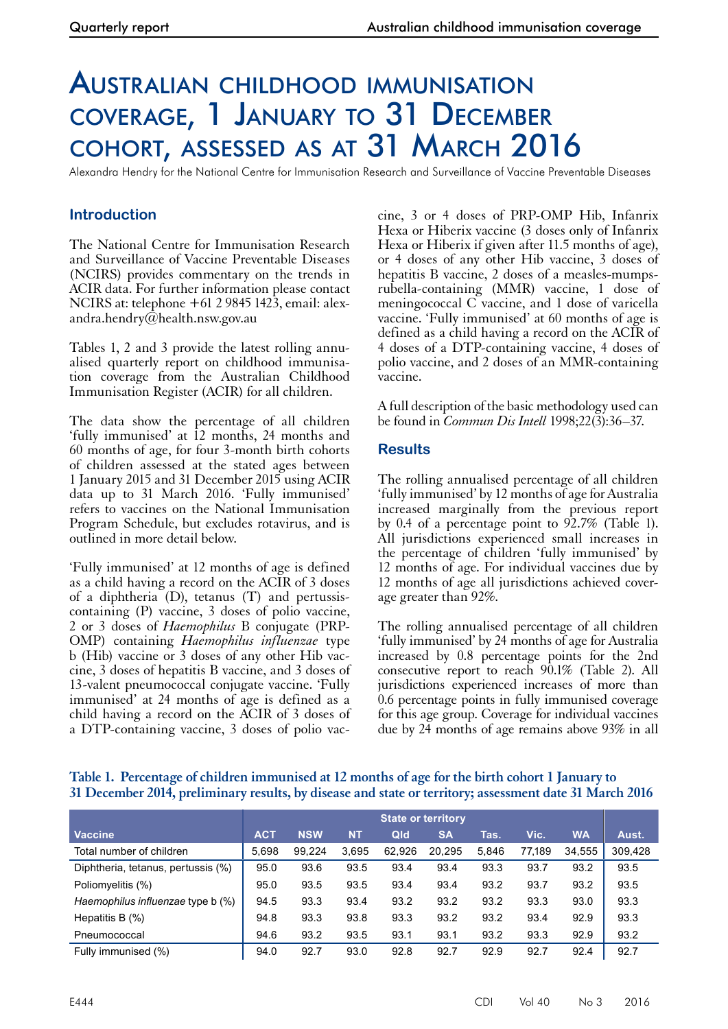# Australian childhood immunisation coverage, 1 January to 31 December cohort, assessed as at 31 March 2016

Alexandra Hendry for the National Centre for Immunisation Research and Surveillance of Vaccine Preventable Diseases

# **Introduction**

The National Centre for Immunisation Research and Surveillance of Vaccine Preventable Diseases (NCIRS) provides commentary on the trends in ACIR data. For further information please contact NCIRS at: telephone +61 2 9845 1423, email: alexandra.hendry@health.nsw.gov.au

Tables 1, 2 and 3 provide the latest rolling annualised quarterly report on childhood immunisation coverage from the Australian Childhood Immunisation Register (ACIR) for all children.

The data show the percentage of all children 'fully immunised' at 12 months, 24 months and 60 months of age, for four 3-month birth cohorts of children assessed at the stated ages between 1 January 2015 and 31 December 2015 using ACIR data up to 31 March 2016. 'Fully immunised' refers to vaccines on the National Immunisation Program Schedule, but excludes rotavirus, and is outlined in more detail below.

'Fully immunised' at 12 months of age is defined as a child having a record on the ACIR of 3 doses of a diphtheria (D), tetanus (T) and pertussiscontaining (P) vaccine, 3 doses of polio vaccine, 2 or 3 doses of *Haemophilus* B conjugate (PRP-OMP) containing *Haemophilus influenzae* type b (Hib) vaccine or 3 doses of any other Hib vac- cine, 3 doses of hepatitis B vaccine, and 3 doses of 13-valent pneumococcal conjugate vaccine. 'Fully immunised' at 24 months of age is defined as a child having a record on the ACIR of 3 doses of a DTP-containing vaccine, 3 doses of polio vaccine, 3 or 4 doses of PRP-OMP Hib, Infanrix Hexa or Hiberix vaccine (3 doses only of Infanrix Hexa or Hiberix if given after 11.5 months of age), or 4 doses of any other Hib vaccine, 3 doses of hepatitis B vaccine, 2 doses of a measles-mumpsrubella-containing (MMR) vaccine, 1 dose of meningococcal C vaccine, and 1 dose of varicella vaccine. 'Fully immunised' at 60 months of age is defined as a child having a record on the ACIR of 4 doses of a DTP-containing vaccine, 4 doses of polio vaccine, and 2 doses of an MMR-containing vaccine.

A full description of the basic methodology used can be found in *Commun Dis Intell* 1998;22(3):36–37.

## **Results**

The rolling annualised percentage of all children 'fully immunised' by 12 months of age for Australia increased marginally from the previous report by 0.4 of a percentage point to 92.7% (Table 1). All jurisdictions experienced small increases in the percentage of children 'fully immunised' by 12 months of age. For individual vaccines due by 12 months of age all jurisdictions achieved cover- age greater than 92%.

The rolling annualised percentage of all children 'fully immunised' by 24 months of age for Australia increased by 0.8 percentage points for the 2nd consecutive report to reach 90.1% (Table 2). All jurisdictions experienced increases of more than 0.6 percentage points in fully immunised coverage for this age group. Coverage for individual vaccines due by 24 months of age remains above 93% in all

## **Table 1. Percentage of children immunised at 12 months of age for the birth cohort 1 January to 31 December 2014, preliminary results, by disease and state or territory; assessment date 31 March 2016**

|                                    | <b>State or territory</b> |            |           |        |           |       |        |           |         |
|------------------------------------|---------------------------|------------|-----------|--------|-----------|-------|--------|-----------|---------|
| <b>Vaccine</b>                     | <b>ACT</b>                | <b>NSW</b> | <b>NT</b> | Qld    | <b>SA</b> | Tas.  | Vic.   | <b>WA</b> | Aust.   |
| Total number of children           | 5,698                     | 99.224     | 3,695     | 62.926 | 20,295    | 5,846 | 77,189 | 34.555    | 309,428 |
| Diphtheria, tetanus, pertussis (%) | 95.0                      | 93.6       | 93.5      | 93.4   | 93.4      | 93.3  | 93.7   | 93.2      | 93.5    |
| Poliomyelitis (%)                  | 95.0                      | 93.5       | 93.5      | 93.4   | 93.4      | 93.2  | 93.7   | 93.2      | 93.5    |
| Haemophilus influenzae type b (%)  | 94.5                      | 93.3       | 93.4      | 93.2   | 93.2      | 93.2  | 93.3   | 93.0      | 93.3    |
| Hepatitis B $(\%)$                 | 94.8                      | 93.3       | 93.8      | 93.3   | 93.2      | 93.2  | 93.4   | 92.9      | 93.3    |
| Pneumococcal                       | 94.6                      | 93.2       | 93.5      | 93.1   | 93.1      | 93.2  | 93.3   | 92.9      | 93.2    |
| Fully immunised (%)                | 94.0                      | 92.7       | 93.0      | 92.8   | 92.7      | 92.9  | 92.7   | 92.4      | 92.7    |